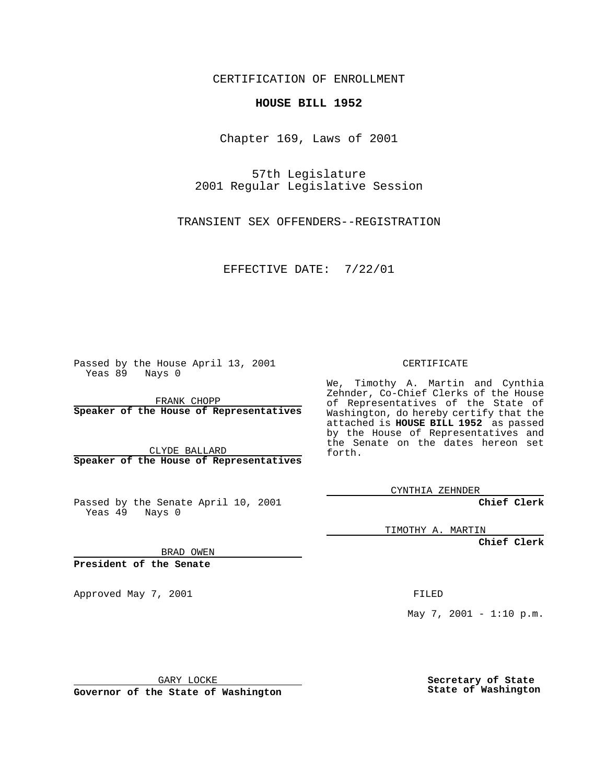CERTIFICATION OF ENROLLMENT

## **HOUSE BILL 1952**

Chapter 169, Laws of 2001

57th Legislature 2001 Regular Legislative Session

TRANSIENT SEX OFFENDERS--REGISTRATION

EFFECTIVE DATE: 7/22/01

Passed by the House April 13, 2001 Yeas 89 Nays 0

FRANK CHOPP **Speaker of the House of Representatives**

CLYDE BALLARD **Speaker of the House of Representatives**

Passed by the Senate April 10, 2001 Yeas 49 Nays 0

CERTIFICATE

We, Timothy A. Martin and Cynthia Zehnder, Co-Chief Clerks of the House of Representatives of the State of Washington, do hereby certify that the attached is **HOUSE BILL 1952** as passed by the House of Representatives and the Senate on the dates hereon set forth.

CYNTHIA ZEHNDER

**Chief Clerk**

TIMOTHY A. MARTIN

**Chief Clerk**

BRAD OWEN

**President of the Senate**

Approved May 7, 2001 FILED

May 7, 2001 - 1:10 p.m.

GARY LOCKE

**Governor of the State of Washington**

**Secretary of State State of Washington**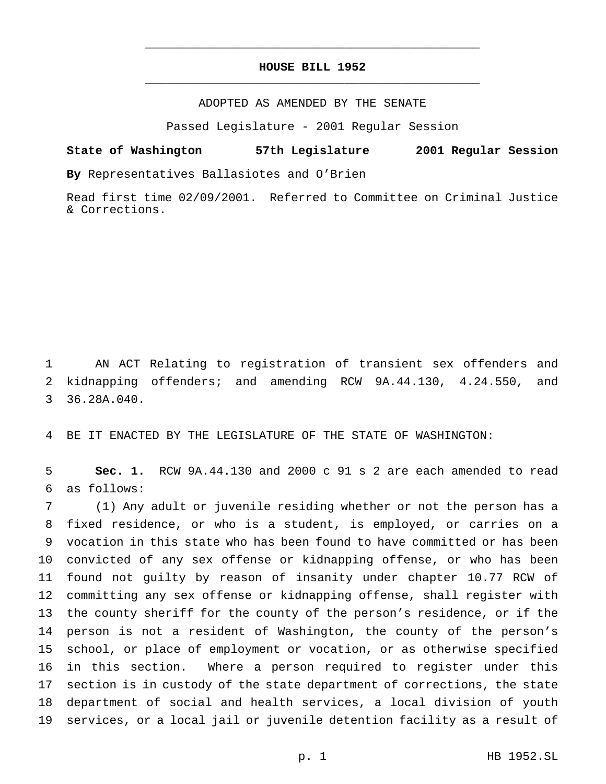## **HOUSE BILL 1952** \_\_\_\_\_\_\_\_\_\_\_\_\_\_\_\_\_\_\_\_\_\_\_\_\_\_\_\_\_\_\_\_\_\_\_\_\_\_\_\_\_\_\_\_\_\_\_

\_\_\_\_\_\_\_\_\_\_\_\_\_\_\_\_\_\_\_\_\_\_\_\_\_\_\_\_\_\_\_\_\_\_\_\_\_\_\_\_\_\_\_\_\_\_\_

ADOPTED AS AMENDED BY THE SENATE

Passed Legislature - 2001 Regular Session

## **State of Washington 57th Legislature 2001 Regular Session**

**By** Representatives Ballasiotes and O'Brien

Read first time 02/09/2001. Referred to Committee on Criminal Justice & Corrections.

 AN ACT Relating to registration of transient sex offenders and kidnapping offenders; and amending RCW 9A.44.130, 4.24.550, and 36.28A.040.

BE IT ENACTED BY THE LEGISLATURE OF THE STATE OF WASHINGTON:

 **Sec. 1.** RCW 9A.44.130 and 2000 c 91 s 2 are each amended to read as follows:

 (1) Any adult or juvenile residing whether or not the person has a fixed residence, or who is a student, is employed, or carries on a vocation in this state who has been found to have committed or has been convicted of any sex offense or kidnapping offense, or who has been found not guilty by reason of insanity under chapter 10.77 RCW of committing any sex offense or kidnapping offense, shall register with the county sheriff for the county of the person's residence, or if the person is not a resident of Washington, the county of the person's school, or place of employment or vocation, or as otherwise specified in this section. Where a person required to register under this section is in custody of the state department of corrections, the state department of social and health services, a local division of youth services, or a local jail or juvenile detention facility as a result of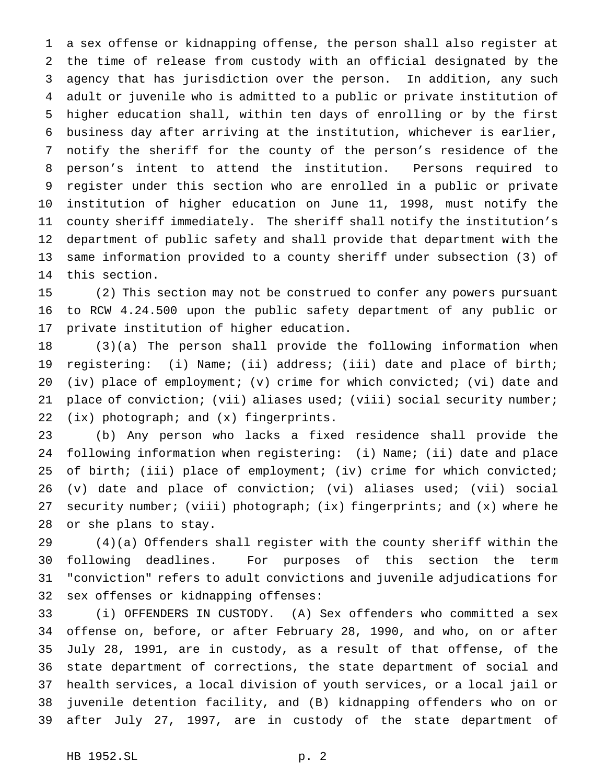a sex offense or kidnapping offense, the person shall also register at the time of release from custody with an official designated by the agency that has jurisdiction over the person. In addition, any such adult or juvenile who is admitted to a public or private institution of higher education shall, within ten days of enrolling or by the first business day after arriving at the institution, whichever is earlier, notify the sheriff for the county of the person's residence of the person's intent to attend the institution. Persons required to register under this section who are enrolled in a public or private institution of higher education on June 11, 1998, must notify the county sheriff immediately. The sheriff shall notify the institution's department of public safety and shall provide that department with the same information provided to a county sheriff under subsection (3) of this section.

 (2) This section may not be construed to confer any powers pursuant to RCW 4.24.500 upon the public safety department of any public or private institution of higher education.

 (3)(a) The person shall provide the following information when registering: (i) Name; (ii) address; (iii) date and place of birth; (iv) place of employment; (v) crime for which convicted; (vi) date and 21 place of conviction; (vii) aliases used; (viii) social security number; (ix) photograph; and (x) fingerprints.

 (b) Any person who lacks a fixed residence shall provide the following information when registering: (i) Name; (ii) date and place 25 of birth; (iii) place of employment; (iv) crime for which convicted; (v) date and place of conviction; (vi) aliases used; (vii) social security number; (viii) photograph; (ix) fingerprints; and (x) where he or she plans to stay.

 (4)(a) Offenders shall register with the county sheriff within the following deadlines. For purposes of this section the term "conviction" refers to adult convictions and juvenile adjudications for sex offenses or kidnapping offenses:

 (i) OFFENDERS IN CUSTODY. (A) Sex offenders who committed a sex offense on, before, or after February 28, 1990, and who, on or after July 28, 1991, are in custody, as a result of that offense, of the state department of corrections, the state department of social and health services, a local division of youth services, or a local jail or juvenile detention facility, and (B) kidnapping offenders who on or after July 27, 1997, are in custody of the state department of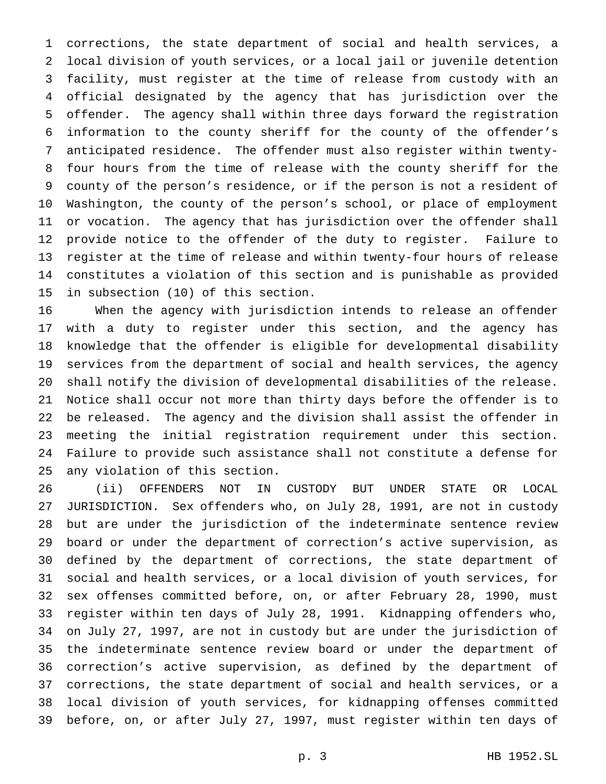corrections, the state department of social and health services, a local division of youth services, or a local jail or juvenile detention facility, must register at the time of release from custody with an official designated by the agency that has jurisdiction over the offender. The agency shall within three days forward the registration information to the county sheriff for the county of the offender's anticipated residence. The offender must also register within twenty- four hours from the time of release with the county sheriff for the county of the person's residence, or if the person is not a resident of Washington, the county of the person's school, or place of employment or vocation. The agency that has jurisdiction over the offender shall provide notice to the offender of the duty to register. Failure to register at the time of release and within twenty-four hours of release constitutes a violation of this section and is punishable as provided in subsection (10) of this section.

 When the agency with jurisdiction intends to release an offender with a duty to register under this section, and the agency has knowledge that the offender is eligible for developmental disability services from the department of social and health services, the agency shall notify the division of developmental disabilities of the release. Notice shall occur not more than thirty days before the offender is to be released. The agency and the division shall assist the offender in meeting the initial registration requirement under this section. Failure to provide such assistance shall not constitute a defense for any violation of this section.

 (ii) OFFENDERS NOT IN CUSTODY BUT UNDER STATE OR LOCAL JURISDICTION. Sex offenders who, on July 28, 1991, are not in custody but are under the jurisdiction of the indeterminate sentence review board or under the department of correction's active supervision, as defined by the department of corrections, the state department of social and health services, or a local division of youth services, for sex offenses committed before, on, or after February 28, 1990, must register within ten days of July 28, 1991. Kidnapping offenders who, on July 27, 1997, are not in custody but are under the jurisdiction of the indeterminate sentence review board or under the department of correction's active supervision, as defined by the department of corrections, the state department of social and health services, or a local division of youth services, for kidnapping offenses committed before, on, or after July 27, 1997, must register within ten days of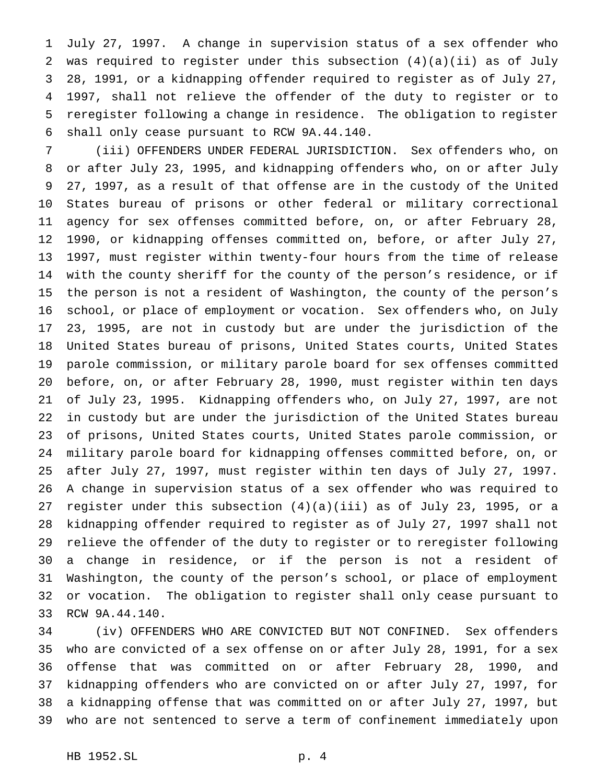July 27, 1997. A change in supervision status of a sex offender who was required to register under this subsection (4)(a)(ii) as of July 28, 1991, or a kidnapping offender required to register as of July 27, 1997, shall not relieve the offender of the duty to register or to reregister following a change in residence. The obligation to register shall only cease pursuant to RCW 9A.44.140.

 (iii) OFFENDERS UNDER FEDERAL JURISDICTION. Sex offenders who, on or after July 23, 1995, and kidnapping offenders who, on or after July 27, 1997, as a result of that offense are in the custody of the United States bureau of prisons or other federal or military correctional agency for sex offenses committed before, on, or after February 28, 1990, or kidnapping offenses committed on, before, or after July 27, 1997, must register within twenty-four hours from the time of release with the county sheriff for the county of the person's residence, or if the person is not a resident of Washington, the county of the person's school, or place of employment or vocation. Sex offenders who, on July 23, 1995, are not in custody but are under the jurisdiction of the United States bureau of prisons, United States courts, United States parole commission, or military parole board for sex offenses committed before, on, or after February 28, 1990, must register within ten days of July 23, 1995. Kidnapping offenders who, on July 27, 1997, are not in custody but are under the jurisdiction of the United States bureau of prisons, United States courts, United States parole commission, or military parole board for kidnapping offenses committed before, on, or after July 27, 1997, must register within ten days of July 27, 1997. A change in supervision status of a sex offender who was required to register under this subsection (4)(a)(iii) as of July 23, 1995, or a kidnapping offender required to register as of July 27, 1997 shall not relieve the offender of the duty to register or to reregister following a change in residence, or if the person is not a resident of Washington, the county of the person's school, or place of employment or vocation. The obligation to register shall only cease pursuant to RCW 9A.44.140.

 (iv) OFFENDERS WHO ARE CONVICTED BUT NOT CONFINED. Sex offenders who are convicted of a sex offense on or after July 28, 1991, for a sex offense that was committed on or after February 28, 1990, and kidnapping offenders who are convicted on or after July 27, 1997, for a kidnapping offense that was committed on or after July 27, 1997, but who are not sentenced to serve a term of confinement immediately upon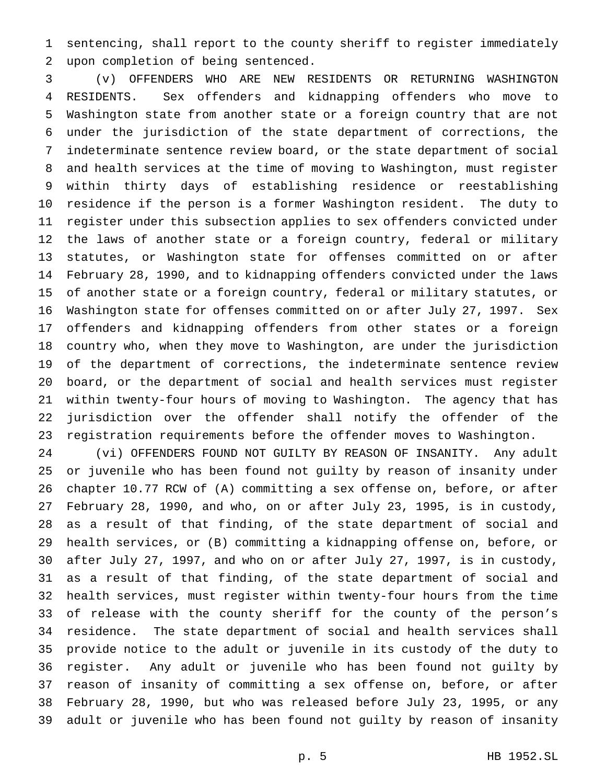sentencing, shall report to the county sheriff to register immediately upon completion of being sentenced.

 (v) OFFENDERS WHO ARE NEW RESIDENTS OR RETURNING WASHINGTON RESIDENTS. Sex offenders and kidnapping offenders who move to Washington state from another state or a foreign country that are not under the jurisdiction of the state department of corrections, the indeterminate sentence review board, or the state department of social and health services at the time of moving to Washington, must register within thirty days of establishing residence or reestablishing residence if the person is a former Washington resident. The duty to register under this subsection applies to sex offenders convicted under the laws of another state or a foreign country, federal or military statutes, or Washington state for offenses committed on or after February 28, 1990, and to kidnapping offenders convicted under the laws of another state or a foreign country, federal or military statutes, or Washington state for offenses committed on or after July 27, 1997. Sex offenders and kidnapping offenders from other states or a foreign country who, when they move to Washington, are under the jurisdiction of the department of corrections, the indeterminate sentence review board, or the department of social and health services must register within twenty-four hours of moving to Washington. The agency that has jurisdiction over the offender shall notify the offender of the registration requirements before the offender moves to Washington.

 (vi) OFFENDERS FOUND NOT GUILTY BY REASON OF INSANITY. Any adult or juvenile who has been found not guilty by reason of insanity under chapter 10.77 RCW of (A) committing a sex offense on, before, or after February 28, 1990, and who, on or after July 23, 1995, is in custody, as a result of that finding, of the state department of social and health services, or (B) committing a kidnapping offense on, before, or after July 27, 1997, and who on or after July 27, 1997, is in custody, as a result of that finding, of the state department of social and health services, must register within twenty-four hours from the time of release with the county sheriff for the county of the person's residence. The state department of social and health services shall provide notice to the adult or juvenile in its custody of the duty to register. Any adult or juvenile who has been found not guilty by reason of insanity of committing a sex offense on, before, or after February 28, 1990, but who was released before July 23, 1995, or any adult or juvenile who has been found not guilty by reason of insanity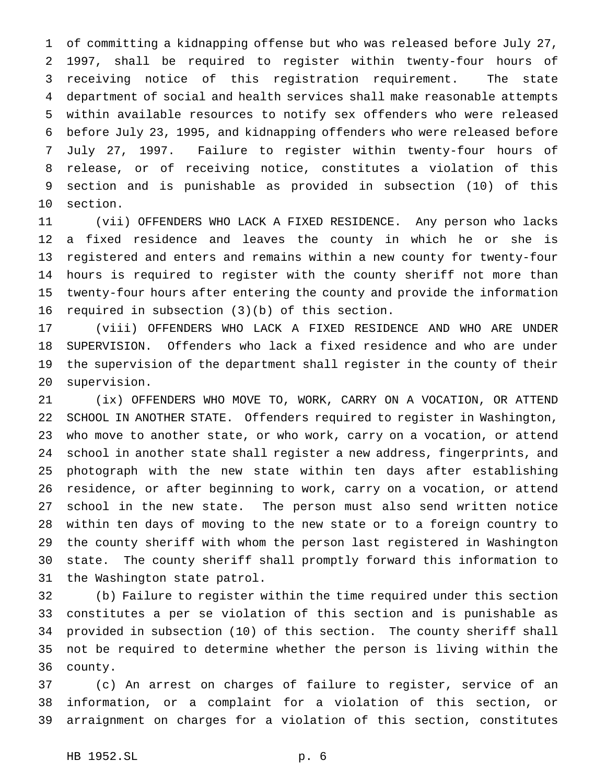of committing a kidnapping offense but who was released before July 27, 1997, shall be required to register within twenty-four hours of receiving notice of this registration requirement. The state department of social and health services shall make reasonable attempts within available resources to notify sex offenders who were released before July 23, 1995, and kidnapping offenders who were released before July 27, 1997. Failure to register within twenty-four hours of release, or of receiving notice, constitutes a violation of this section and is punishable as provided in subsection (10) of this section.

 (vii) OFFENDERS WHO LACK A FIXED RESIDENCE. Any person who lacks a fixed residence and leaves the county in which he or she is registered and enters and remains within a new county for twenty-four hours is required to register with the county sheriff not more than twenty-four hours after entering the county and provide the information required in subsection (3)(b) of this section.

 (viii) OFFENDERS WHO LACK A FIXED RESIDENCE AND WHO ARE UNDER SUPERVISION. Offenders who lack a fixed residence and who are under the supervision of the department shall register in the county of their supervision.

 (ix) OFFENDERS WHO MOVE TO, WORK, CARRY ON A VOCATION, OR ATTEND SCHOOL IN ANOTHER STATE. Offenders required to register in Washington, who move to another state, or who work, carry on a vocation, or attend school in another state shall register a new address, fingerprints, and photograph with the new state within ten days after establishing residence, or after beginning to work, carry on a vocation, or attend school in the new state. The person must also send written notice within ten days of moving to the new state or to a foreign country to the county sheriff with whom the person last registered in Washington state. The county sheriff shall promptly forward this information to the Washington state patrol.

 (b) Failure to register within the time required under this section constitutes a per se violation of this section and is punishable as provided in subsection (10) of this section. The county sheriff shall not be required to determine whether the person is living within the county.

 (c) An arrest on charges of failure to register, service of an information, or a complaint for a violation of this section, or arraignment on charges for a violation of this section, constitutes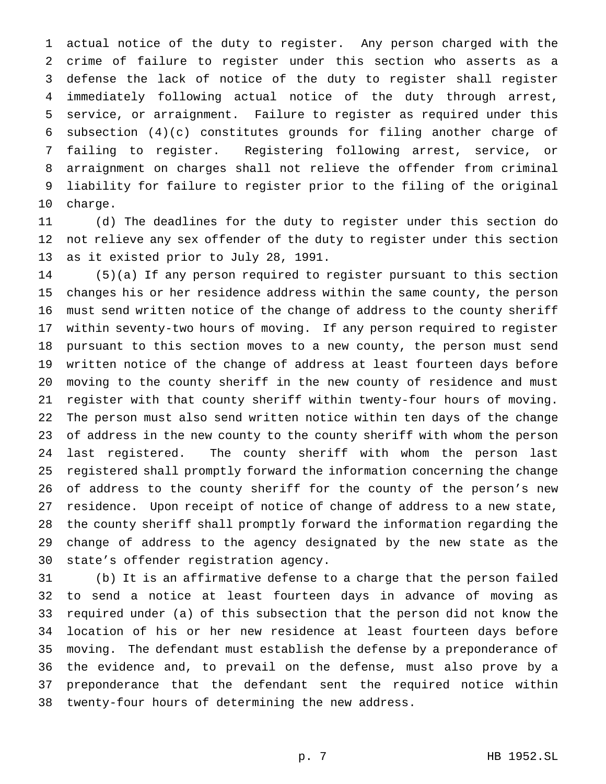actual notice of the duty to register. Any person charged with the crime of failure to register under this section who asserts as a defense the lack of notice of the duty to register shall register immediately following actual notice of the duty through arrest, service, or arraignment. Failure to register as required under this subsection (4)(c) constitutes grounds for filing another charge of failing to register. Registering following arrest, service, or arraignment on charges shall not relieve the offender from criminal liability for failure to register prior to the filing of the original charge.

 (d) The deadlines for the duty to register under this section do not relieve any sex offender of the duty to register under this section as it existed prior to July 28, 1991.

 (5)(a) If any person required to register pursuant to this section changes his or her residence address within the same county, the person must send written notice of the change of address to the county sheriff within seventy-two hours of moving. If any person required to register pursuant to this section moves to a new county, the person must send written notice of the change of address at least fourteen days before moving to the county sheriff in the new county of residence and must register with that county sheriff within twenty-four hours of moving. The person must also send written notice within ten days of the change of address in the new county to the county sheriff with whom the person last registered. The county sheriff with whom the person last registered shall promptly forward the information concerning the change of address to the county sheriff for the county of the person's new residence. Upon receipt of notice of change of address to a new state, the county sheriff shall promptly forward the information regarding the change of address to the agency designated by the new state as the state's offender registration agency.

 (b) It is an affirmative defense to a charge that the person failed to send a notice at least fourteen days in advance of moving as required under (a) of this subsection that the person did not know the location of his or her new residence at least fourteen days before moving. The defendant must establish the defense by a preponderance of the evidence and, to prevail on the defense, must also prove by a preponderance that the defendant sent the required notice within twenty-four hours of determining the new address.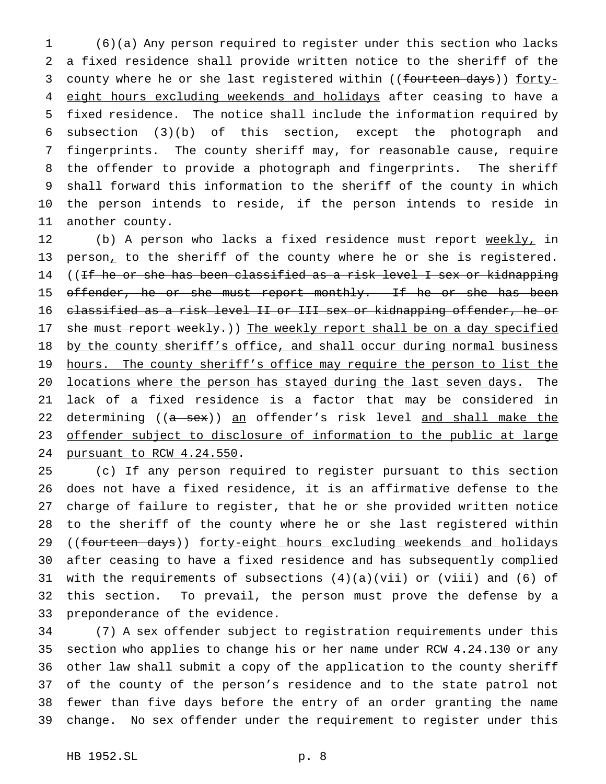(6)(a) Any person required to register under this section who lacks a fixed residence shall provide written notice to the sheriff of the 3 county where he or she last registered within ((fourteen days)) forty-4 eight hours excluding weekends and holidays after ceasing to have a fixed residence. The notice shall include the information required by subsection (3)(b) of this section, except the photograph and fingerprints. The county sheriff may, for reasonable cause, require the offender to provide a photograph and fingerprints. The sheriff shall forward this information to the sheriff of the county in which the person intends to reside, if the person intends to reside in another county.

12 (b) A person who lacks a fixed residence must report weekly, in 13 person, to the sheriff of the county where he or she is registered. 14 ((If he or she has been classified as a risk level I sex or kidnapping 15 offender, he or she must report monthly. If he or she has been classified as a risk level II or III sex or kidnapping offender, he or 17 she must report weekly.)) The weekly report shall be on a day specified 18 by the county sheriff's office, and shall occur during normal business 19 hours. The county sheriff's office may require the person to list the locations where the person has stayed during the last seven days. The lack of a fixed residence is a factor that may be considered in 22 determining ((a sex)) an offender's risk level and shall make the 23 offender subject to disclosure of information to the public at large pursuant to RCW 4.24.550.

 (c) If any person required to register pursuant to this section does not have a fixed residence, it is an affirmative defense to the charge of failure to register, that he or she provided written notice to the sheriff of the county where he or she last registered within 29 ((fourteen days)) forty-eight hours excluding weekends and holidays after ceasing to have a fixed residence and has subsequently complied with the requirements of subsections (4)(a)(vii) or (viii) and (6) of this section. To prevail, the person must prove the defense by a preponderance of the evidence.

 (7) A sex offender subject to registration requirements under this section who applies to change his or her name under RCW 4.24.130 or any other law shall submit a copy of the application to the county sheriff of the county of the person's residence and to the state patrol not fewer than five days before the entry of an order granting the name change. No sex offender under the requirement to register under this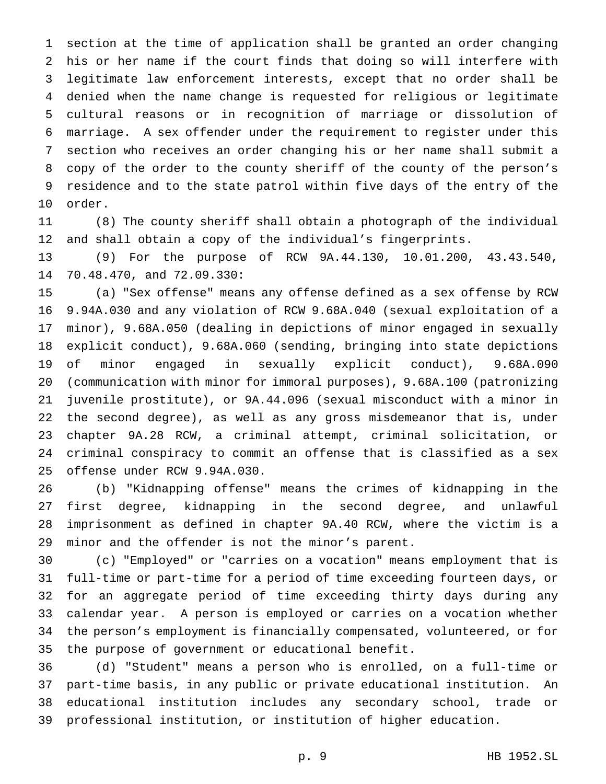section at the time of application shall be granted an order changing his or her name if the court finds that doing so will interfere with legitimate law enforcement interests, except that no order shall be denied when the name change is requested for religious or legitimate cultural reasons or in recognition of marriage or dissolution of marriage. A sex offender under the requirement to register under this section who receives an order changing his or her name shall submit a copy of the order to the county sheriff of the county of the person's residence and to the state patrol within five days of the entry of the order.

 (8) The county sheriff shall obtain a photograph of the individual and shall obtain a copy of the individual's fingerprints.

 (9) For the purpose of RCW 9A.44.130, 10.01.200, 43.43.540, 70.48.470, and 72.09.330:

 (a) "Sex offense" means any offense defined as a sex offense by RCW 9.94A.030 and any violation of RCW 9.68A.040 (sexual exploitation of a minor), 9.68A.050 (dealing in depictions of minor engaged in sexually explicit conduct), 9.68A.060 (sending, bringing into state depictions of minor engaged in sexually explicit conduct), 9.68A.090 (communication with minor for immoral purposes), 9.68A.100 (patronizing juvenile prostitute), or 9A.44.096 (sexual misconduct with a minor in the second degree), as well as any gross misdemeanor that is, under chapter 9A.28 RCW, a criminal attempt, criminal solicitation, or criminal conspiracy to commit an offense that is classified as a sex offense under RCW 9.94A.030.

 (b) "Kidnapping offense" means the crimes of kidnapping in the first degree, kidnapping in the second degree, and unlawful imprisonment as defined in chapter 9A.40 RCW, where the victim is a minor and the offender is not the minor's parent.

 (c) "Employed" or "carries on a vocation" means employment that is full-time or part-time for a period of time exceeding fourteen days, or for an aggregate period of time exceeding thirty days during any calendar year. A person is employed or carries on a vocation whether the person's employment is financially compensated, volunteered, or for the purpose of government or educational benefit.

 (d) "Student" means a person who is enrolled, on a full-time or part-time basis, in any public or private educational institution. An educational institution includes any secondary school, trade or professional institution, or institution of higher education.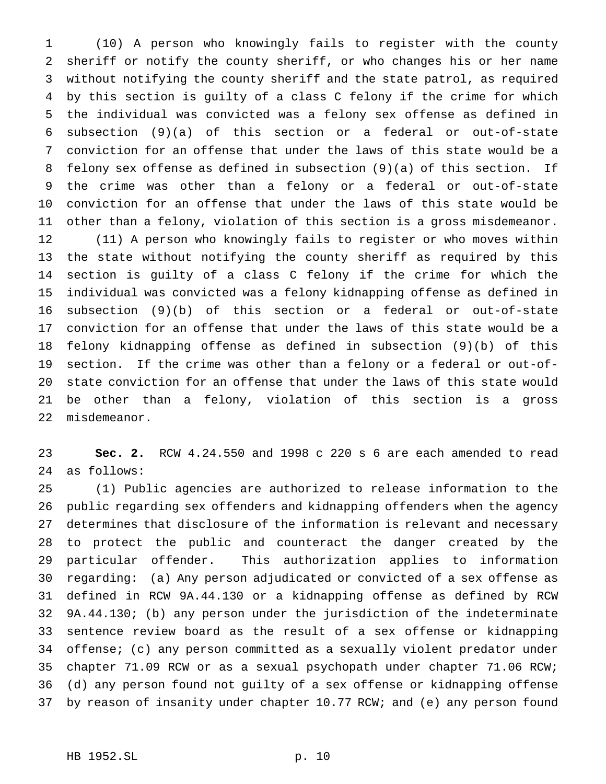(10) A person who knowingly fails to register with the county sheriff or notify the county sheriff, or who changes his or her name without notifying the county sheriff and the state patrol, as required by this section is guilty of a class C felony if the crime for which the individual was convicted was a felony sex offense as defined in subsection (9)(a) of this section or a federal or out-of-state conviction for an offense that under the laws of this state would be a felony sex offense as defined in subsection (9)(a) of this section. If the crime was other than a felony or a federal or out-of-state conviction for an offense that under the laws of this state would be other than a felony, violation of this section is a gross misdemeanor. (11) A person who knowingly fails to register or who moves within the state without notifying the county sheriff as required by this section is guilty of a class C felony if the crime for which the individual was convicted was a felony kidnapping offense as defined in subsection (9)(b) of this section or a federal or out-of-state conviction for an offense that under the laws of this state would be a felony kidnapping offense as defined in subsection (9)(b) of this section. If the crime was other than a felony or a federal or out-of- state conviction for an offense that under the laws of this state would be other than a felony, violation of this section is a gross misdemeanor.

 **Sec. 2.** RCW 4.24.550 and 1998 c 220 s 6 are each amended to read as follows:

 (1) Public agencies are authorized to release information to the public regarding sex offenders and kidnapping offenders when the agency determines that disclosure of the information is relevant and necessary to protect the public and counteract the danger created by the particular offender. This authorization applies to information regarding: (a) Any person adjudicated or convicted of a sex offense as defined in RCW 9A.44.130 or a kidnapping offense as defined by RCW 9A.44.130; (b) any person under the jurisdiction of the indeterminate sentence review board as the result of a sex offense or kidnapping offense; (c) any person committed as a sexually violent predator under chapter 71.09 RCW or as a sexual psychopath under chapter 71.06 RCW; (d) any person found not guilty of a sex offense or kidnapping offense by reason of insanity under chapter 10.77 RCW; and (e) any person found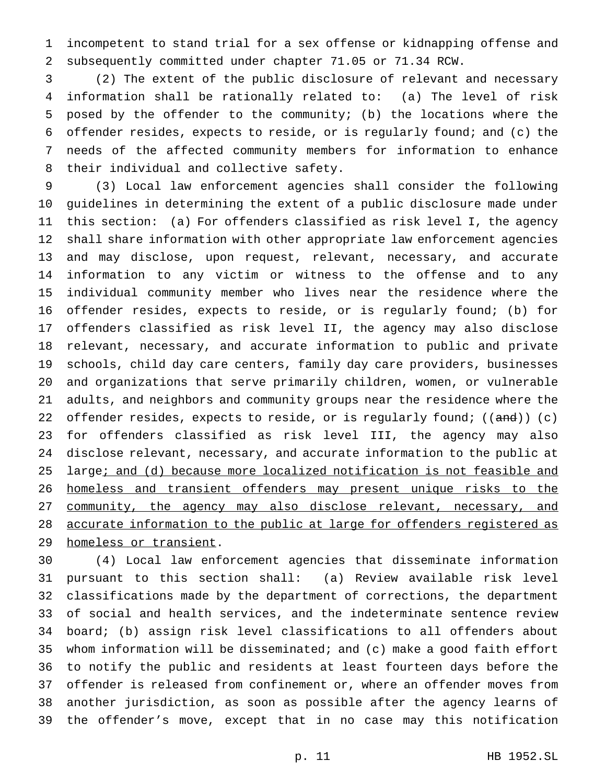incompetent to stand trial for a sex offense or kidnapping offense and subsequently committed under chapter 71.05 or 71.34 RCW.

 (2) The extent of the public disclosure of relevant and necessary information shall be rationally related to: (a) The level of risk posed by the offender to the community; (b) the locations where the offender resides, expects to reside, or is regularly found; and (c) the needs of the affected community members for information to enhance their individual and collective safety.

 (3) Local law enforcement agencies shall consider the following guidelines in determining the extent of a public disclosure made under this section: (a) For offenders classified as risk level I, the agency shall share information with other appropriate law enforcement agencies and may disclose, upon request, relevant, necessary, and accurate information to any victim or witness to the offense and to any individual community member who lives near the residence where the offender resides, expects to reside, or is regularly found; (b) for offenders classified as risk level II, the agency may also disclose relevant, necessary, and accurate information to public and private schools, child day care centers, family day care providers, businesses and organizations that serve primarily children, women, or vulnerable adults, and neighbors and community groups near the residence where the 22 offender resides, expects to reside, or is regularly found; ((and)) (c) for offenders classified as risk level III, the agency may also disclose relevant, necessary, and accurate information to the public at 25 large; and (d) because more localized notification is not feasible and homeless and transient offenders may present unique risks to the 27 community, the agency may also disclose relevant, necessary, and accurate information to the public at large for offenders registered as 29 homeless or transient.

 (4) Local law enforcement agencies that disseminate information pursuant to this section shall: (a) Review available risk level classifications made by the department of corrections, the department of social and health services, and the indeterminate sentence review board; (b) assign risk level classifications to all offenders about whom information will be disseminated; and (c) make a good faith effort to notify the public and residents at least fourteen days before the offender is released from confinement or, where an offender moves from another jurisdiction, as soon as possible after the agency learns of the offender's move, except that in no case may this notification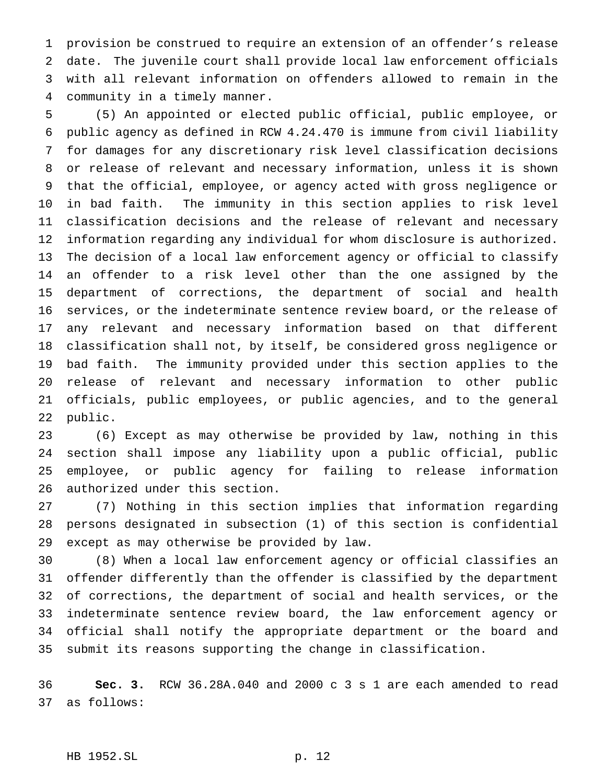provision be construed to require an extension of an offender's release date. The juvenile court shall provide local law enforcement officials with all relevant information on offenders allowed to remain in the community in a timely manner.

 (5) An appointed or elected public official, public employee, or public agency as defined in RCW 4.24.470 is immune from civil liability for damages for any discretionary risk level classification decisions or release of relevant and necessary information, unless it is shown that the official, employee, or agency acted with gross negligence or in bad faith. The immunity in this section applies to risk level classification decisions and the release of relevant and necessary information regarding any individual for whom disclosure is authorized. The decision of a local law enforcement agency or official to classify an offender to a risk level other than the one assigned by the department of corrections, the department of social and health services, or the indeterminate sentence review board, or the release of any relevant and necessary information based on that different classification shall not, by itself, be considered gross negligence or bad faith. The immunity provided under this section applies to the release of relevant and necessary information to other public officials, public employees, or public agencies, and to the general public.

 (6) Except as may otherwise be provided by law, nothing in this section shall impose any liability upon a public official, public employee, or public agency for failing to release information authorized under this section.

 (7) Nothing in this section implies that information regarding persons designated in subsection (1) of this section is confidential except as may otherwise be provided by law.

 (8) When a local law enforcement agency or official classifies an offender differently than the offender is classified by the department of corrections, the department of social and health services, or the indeterminate sentence review board, the law enforcement agency or official shall notify the appropriate department or the board and submit its reasons supporting the change in classification.

 **Sec. 3.** RCW 36.28A.040 and 2000 c 3 s 1 are each amended to read as follows: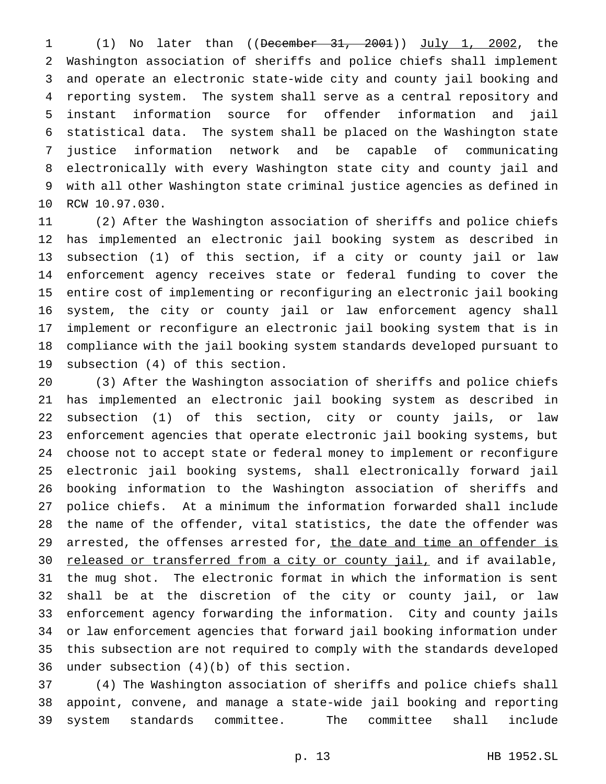(1) No later than ((December 31, 2001)) July 1, 2002, the Washington association of sheriffs and police chiefs shall implement and operate an electronic state-wide city and county jail booking and reporting system. The system shall serve as a central repository and instant information source for offender information and jail statistical data. The system shall be placed on the Washington state justice information network and be capable of communicating electronically with every Washington state city and county jail and with all other Washington state criminal justice agencies as defined in RCW 10.97.030.

 (2) After the Washington association of sheriffs and police chiefs has implemented an electronic jail booking system as described in subsection (1) of this section, if a city or county jail or law enforcement agency receives state or federal funding to cover the entire cost of implementing or reconfiguring an electronic jail booking system, the city or county jail or law enforcement agency shall implement or reconfigure an electronic jail booking system that is in compliance with the jail booking system standards developed pursuant to subsection (4) of this section.

 (3) After the Washington association of sheriffs and police chiefs has implemented an electronic jail booking system as described in subsection (1) of this section, city or county jails, or law enforcement agencies that operate electronic jail booking systems, but choose not to accept state or federal money to implement or reconfigure electronic jail booking systems, shall electronically forward jail booking information to the Washington association of sheriffs and police chiefs. At a minimum the information forwarded shall include the name of the offender, vital statistics, the date the offender was 29 arrested, the offenses arrested for, the date and time an offender is 30 released or transferred from a city or county jail, and if available, the mug shot. The electronic format in which the information is sent shall be at the discretion of the city or county jail, or law enforcement agency forwarding the information. City and county jails or law enforcement agencies that forward jail booking information under this subsection are not required to comply with the standards developed under subsection (4)(b) of this section.

 (4) The Washington association of sheriffs and police chiefs shall appoint, convene, and manage a state-wide jail booking and reporting system standards committee. The committee shall include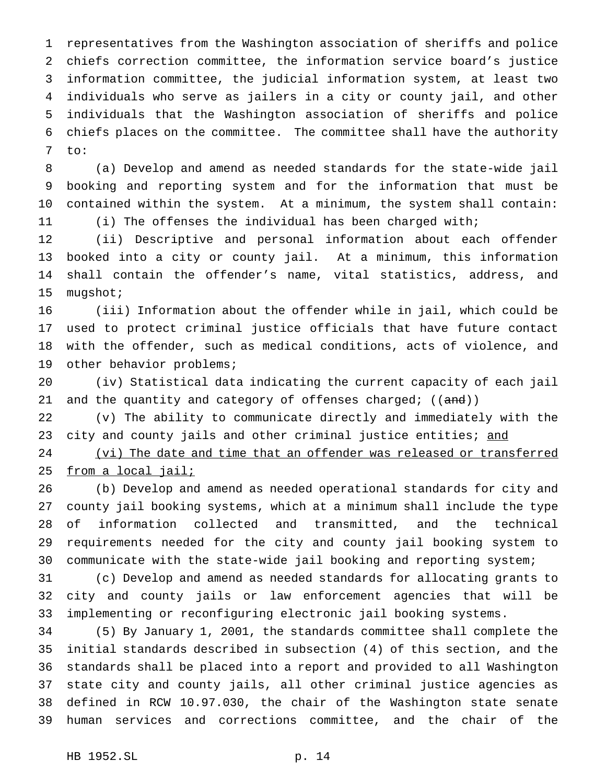representatives from the Washington association of sheriffs and police chiefs correction committee, the information service board's justice information committee, the judicial information system, at least two individuals who serve as jailers in a city or county jail, and other individuals that the Washington association of sheriffs and police chiefs places on the committee. The committee shall have the authority to:

 (a) Develop and amend as needed standards for the state-wide jail booking and reporting system and for the information that must be contained within the system. At a minimum, the system shall contain: (i) The offenses the individual has been charged with;

 (ii) Descriptive and personal information about each offender booked into a city or county jail. At a minimum, this information shall contain the offender's name, vital statistics, address, and mugshot;

 (iii) Information about the offender while in jail, which could be used to protect criminal justice officials that have future contact with the offender, such as medical conditions, acts of violence, and other behavior problems;

 (iv) Statistical data indicating the current capacity of each jail 21 and the quantity and category of offenses charged; ((and))

 (v) The ability to communicate directly and immediately with the 23 city and county jails and other criminal justice entities; and

 (vi) The date and time that an offender was released or transferred from a local jail;

 (b) Develop and amend as needed operational standards for city and county jail booking systems, which at a minimum shall include the type of information collected and transmitted, and the technical requirements needed for the city and county jail booking system to communicate with the state-wide jail booking and reporting system;

 (c) Develop and amend as needed standards for allocating grants to city and county jails or law enforcement agencies that will be implementing or reconfiguring electronic jail booking systems.

 (5) By January 1, 2001, the standards committee shall complete the initial standards described in subsection (4) of this section, and the standards shall be placed into a report and provided to all Washington state city and county jails, all other criminal justice agencies as defined in RCW 10.97.030, the chair of the Washington state senate human services and corrections committee, and the chair of the